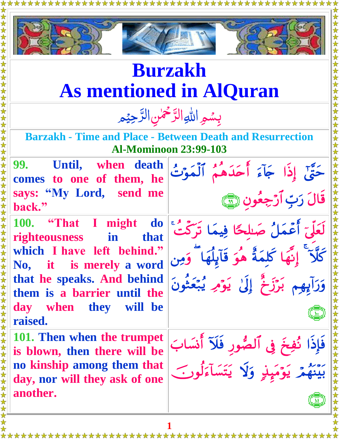

## **Burzakh As mentioned in AlQuran**

بِسْمِ اللهِ الرَّحْمٰنِ الرَّحِيْمِ  $\frac{1}{2}$ ب ا رّ<br>\_  $\frac{1}{2}$ بِسُمِرِ اللهِ الرَّحْمٰنِ الرَّ ر<br>ر

**Barzakh - Time and Place - Between Death and Resurrection Al-Mominoon 23:99-103**

**99. Until, when death comes to one of them, he says: "My Lord, send me back."** 

**100. "That I might do righteousness in that which I have left behind." No, it is merely a word that he speaks. And behind them is a barrier until the day when they will be raised.**

**101. Then when the trumpet is blown, then there will be no kinship among them that day, nor will they ask of one another.**



 $\begin{pmatrix} 1 \\ 1 \end{pmatrix}$